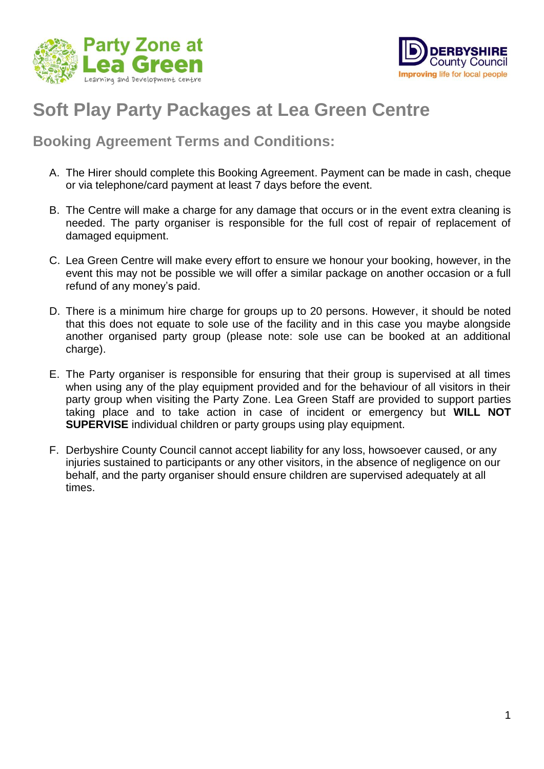



## **Soft Play Party Packages at Lea Green Centre**

## **Booking Agreement Terms and Conditions:**

- A. The Hirer should complete this Booking Agreement. Payment can be made in cash, cheque or via telephone/card payment at least 7 days before the event.
- B. The Centre will make a charge for any damage that occurs or in the event extra cleaning is needed. The party organiser is responsible for the full cost of repair of replacement of damaged equipment.
- C. Lea Green Centre will make every effort to ensure we honour your booking, however, in the event this may not be possible we will offer a similar package on another occasion or a full refund of any money's paid.
- D. There is a minimum hire charge for groups up to 20 persons. However, it should be noted that this does not equate to sole use of the facility and in this case you maybe alongside another organised party group (please note: sole use can be booked at an additional charge).
- E. The Party organiser is responsible for ensuring that their group is supervised at all times when using any of the play equipment provided and for the behaviour of all visitors in their party group when visiting the Party Zone. Lea Green Staff are provided to support parties taking place and to take action in case of incident or emergency but **WILL NOT SUPERVISE** individual children or party groups using play equipment.
- F. Derbyshire County Council cannot accept liability for any loss, howsoever caused, or any injuries sustained to participants or any other visitors, in the absence of negligence on our behalf, and the party organiser should ensure children are supervised adequately at all times.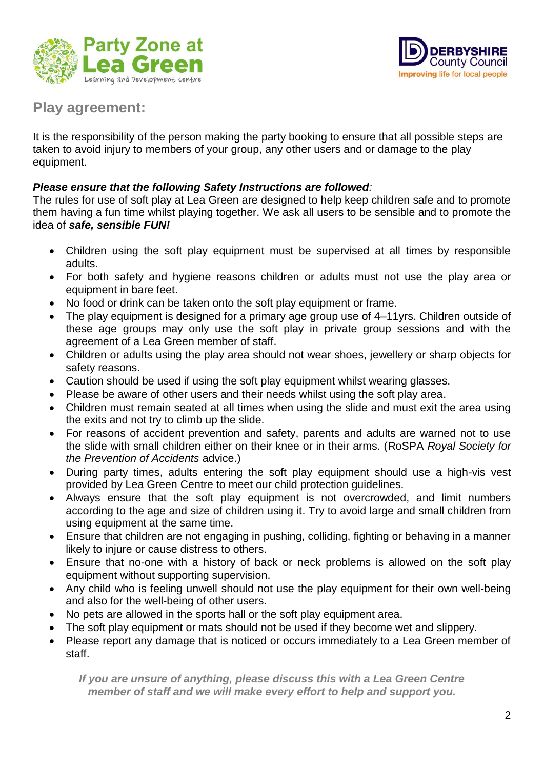



## **Play agreement:**

It is the responsibility of the person making the party booking to ensure that all possible steps are taken to avoid injury to members of your group, any other users and or damage to the play equipment.

## *Please ensure that the following Safety Instructions are followed:*

The rules for use of soft play at Lea Green are designed to help keep children safe and to promote them having a fun time whilst playing together. We ask all users to be sensible and to promote the idea of *safe, sensible FUN!*

- Children using the soft play equipment must be supervised at all times by responsible adults.
- For both safety and hygiene reasons children or adults must not use the play area or equipment in bare feet.
- No food or drink can be taken onto the soft play equipment or frame.
- The play equipment is designed for a primary age group use of 4–11yrs. Children outside of these age groups may only use the soft play in private group sessions and with the agreement of a Lea Green member of staff.
- Children or adults using the play area should not wear shoes, jewellery or sharp objects for safety reasons.
- Caution should be used if using the soft play equipment whilst wearing glasses.
- Please be aware of other users and their needs whilst using the soft play area.
- Children must remain seated at all times when using the slide and must exit the area using the exits and not try to climb up the slide.
- For reasons of accident prevention and safety, parents and adults are warned not to use the slide with small children either on their knee or in their arms. (RoSPA *Royal Society for the Prevention of Accidents* advice.)
- During party times, adults entering the soft play equipment should use a high-vis vest provided by Lea Green Centre to meet our child protection guidelines.
- Always ensure that the soft play equipment is not overcrowded, and limit numbers according to the age and size of children using it. Try to avoid large and small children from using equipment at the same time.
- Ensure that children are not engaging in pushing, colliding, fighting or behaving in a manner likely to injure or cause distress to others.
- Ensure that no-one with a history of back or neck problems is allowed on the soft play equipment without supporting supervision.
- Any child who is feeling unwell should not use the play equipment for their own well-being and also for the well-being of other users.
- No pets are allowed in the sports hall or the soft play equipment area.
- The soft play equipment or mats should not be used if they become wet and slippery.
- Please report any damage that is noticed or occurs immediately to a Lea Green member of staff.

*If you are unsure of anything, please discuss this with a Lea Green Centre member of staff and we will make every effort to help and support you.*